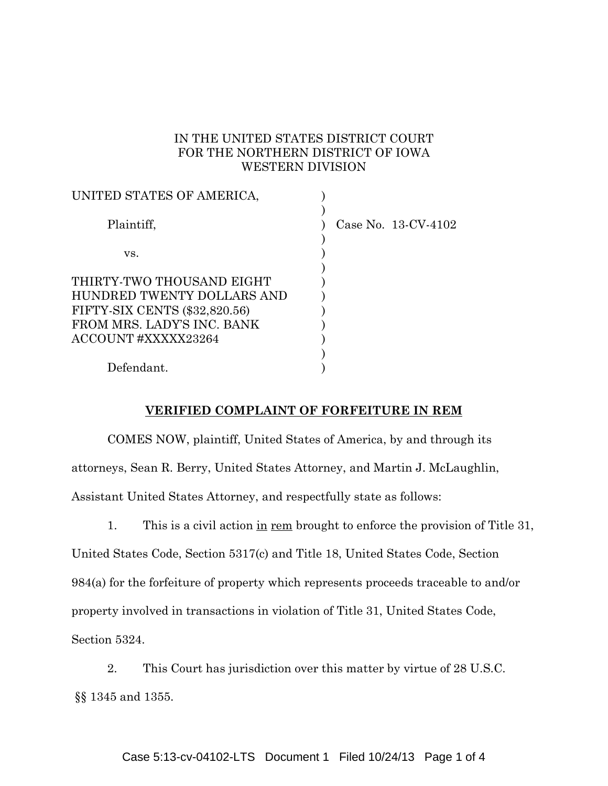#### IN THE UNITED STATES DISTRICT COURT FOR THE NORTHERN DISTRICT OF IOWA WESTERN DIVISION

| UNITED STATES OF AMERICA,                                                                                                                    |                        |
|----------------------------------------------------------------------------------------------------------------------------------------------|------------------------|
| Plaintiff,                                                                                                                                   | Case No. $13$ -CV-4102 |
| VS.                                                                                                                                          |                        |
| THIRTY-TWO THOUSAND EIGHT<br>HUNDRED TWENTY DOLLARS AND<br>FIFTY-SIX CENTS (\$32,820.56)<br>FROM MRS. LADY'S INC. BANK<br>ACCOUNT#XXXXX23264 |                        |
| Defendant.                                                                                                                                   |                        |

#### **VERIFIED COMPLAINT OF FORFEITURE IN REM**

COMES NOW, plaintiff, United States of America, by and through its attorneys, Sean R. Berry, United States Attorney, and Martin J. McLaughlin, Assistant United States Attorney, and respectfully state as follows:

1. This is a civil action in rem brought to enforce the provision of Title 31, United States Code, Section 5317(c) and Title 18, United States Code, Section 984(a) for the forfeiture of property which represents proceeds traceable to and/or property involved in transactions in violation of Title 31, United States Code, Section 5324.

2. This Court has jurisdiction over this matter by virtue of 28 U.S.C. §§ 1345 and 1355.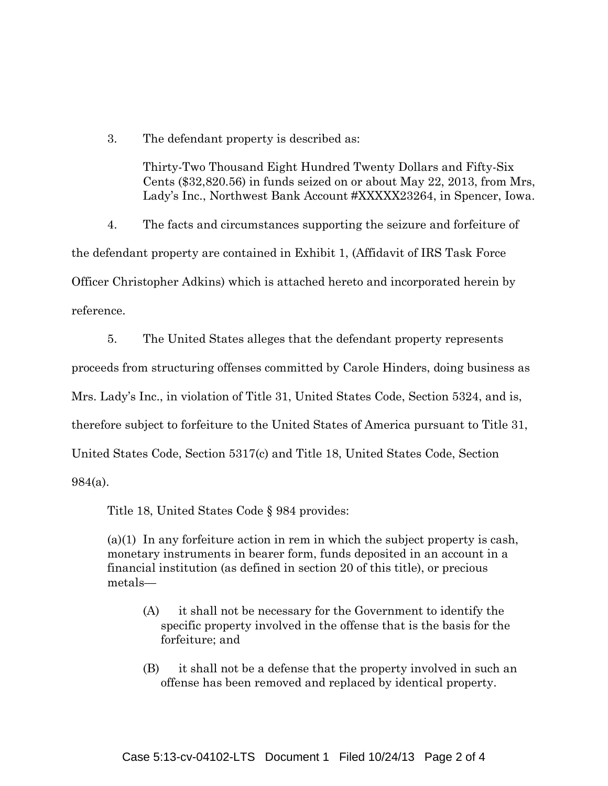3. The defendant property is described as:

Thirty-Two Thousand Eight Hundred Twenty Dollars and Fifty-Six Cents (\$32,820.56) in funds seized on or about May 22, 2013, from Mrs, Lady's Inc., Northwest Bank Account #XXXXX23264, in Spencer, Iowa.

4. The facts and circumstances supporting the seizure and forfeiture of the defendant property are contained in Exhibit 1, (Affidavit of IRS Task Force Officer Christopher Adkins) which is attached hereto and incorporated herein by reference.

5. The United States alleges that the defendant property represents proceeds from structuring offenses committed by Carole Hinders, doing business as Mrs. Lady's Inc., in violation of Title 31, United States Code, Section 5324, and is, therefore subject to forfeiture to the United States of America pursuant to Title 31, United States Code, Section 5317(c) and Title 18, United States Code, Section 984(a).

Title 18, United States Code § 984 provides:

(a)(1) In any forfeiture action in rem in which the subject property is cash, monetary instruments in bearer form, funds deposited in an account in a financial institution (as defined in section 20 of this title), or precious metals—

- (A) it shall not be necessary for the Government to identify the specific property involved in the offense that is the basis for the forfeiture; and
- (B) it shall not be a defense that the property involved in such an offense has been removed and replaced by identical property.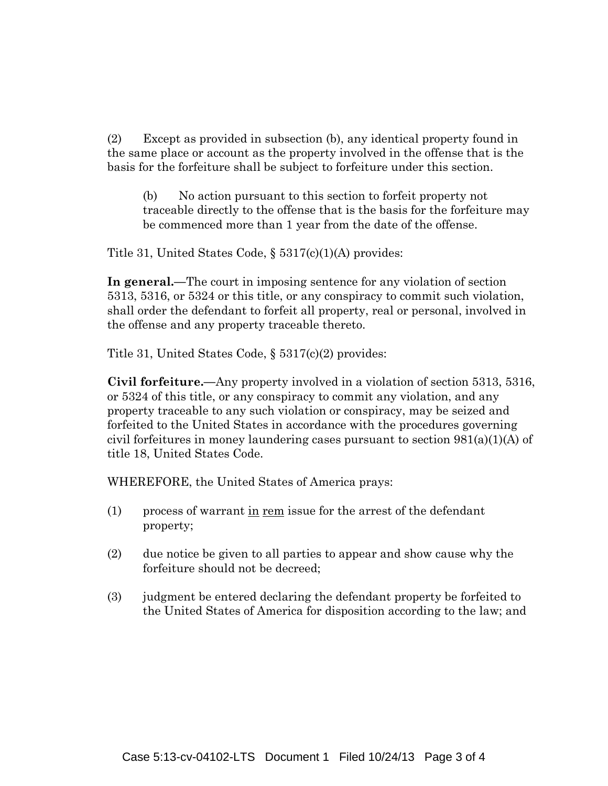(2) Except as provided in subsection (b), any identical property found in the same place or account as the property involved in the offense that is the basis for the forfeiture shall be subject to forfeiture under this section.

(b) No action pursuant to this section to forfeit property not traceable directly to the offense that is the basis for the forfeiture may be commenced more than 1 year from the date of the offense.

Title 31, United States Code, § 5317(c)(1)(A) provides:

**In general.—**The court in imposing sentence for any violation of section 5313, 5316, or 5324 or this title, or any conspiracy to commit such violation, shall order the defendant to forfeit all property, real or personal, involved in the offense and any property traceable thereto.

Title 31, United States Code, § 5317(c)(2) provides:

**Civil forfeiture.—**Any property involved in a violation of section 5313, 5316, or 5324 of this title, or any conspiracy to commit any violation, and any property traceable to any such violation or conspiracy, may be seized and forfeited to the United States in accordance with the procedures governing civil forfeitures in money laundering cases pursuant to section  $981(a)(1)(A)$  of title 18, United States Code.

WHEREFORE, the United States of America prays:

- (1) process of warrant in rem issue for the arrest of the defendant property;
- (2) due notice be given to all parties to appear and show cause why the forfeiture should not be decreed;
- (3) judgment be entered declaring the defendant property be forfeited to the United States of America for disposition according to the law; and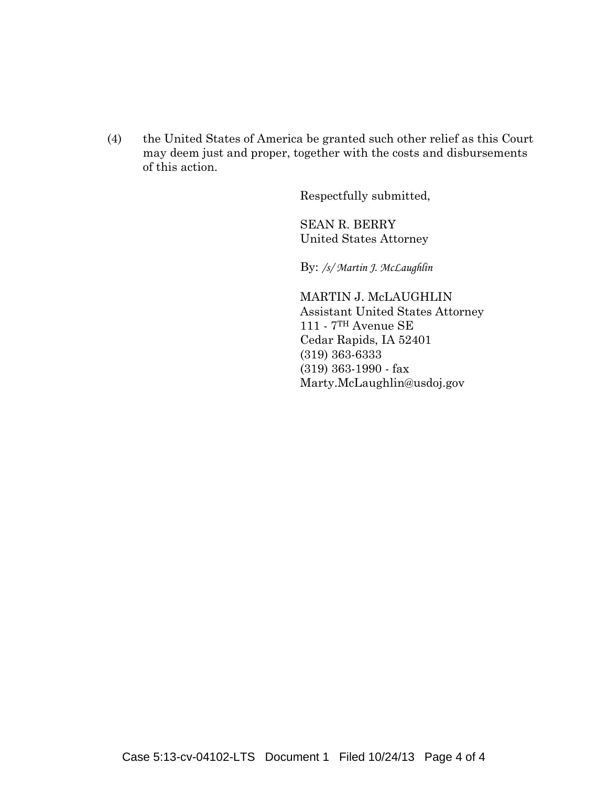(4) the United States of America be granted such other relief as this Court may deem just and proper, together with the costs and disbursements of this action.

Respectfully submitted,

SEAN R. BERRY United States Attorney

By: */s/ Martin J. McLaughlin*

MARTIN J. McLAUGHLIN Assistant United States Attorney 111 - 7TH Avenue SE Cedar Rapids, IA 52401 (319) 363-6333 (319) 363-1990 - fax Marty.McLaughlin@usdoj.gov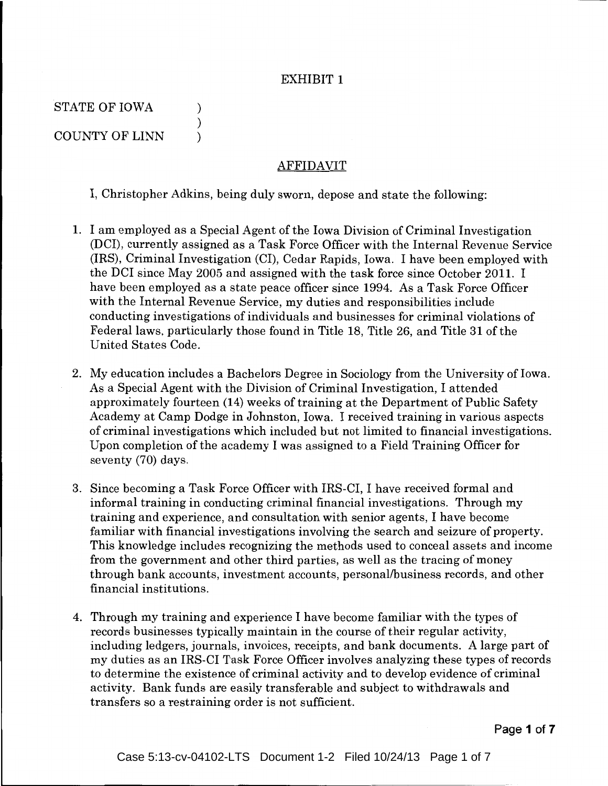#### EXHIBIT **1**

STATE OF IOWA (1) COUNTY OF LINN )

)

#### AFFIDAVIT

I, Christopher Adkins, being duly sworn, depose and state the following:

- 1. I am employed as a Special Agent of the Iowa Division of Criminal Investigation (DCI), currently assigned as a Task Force Officer with the Internal Revenue Service (IRS), Criminal Investigation (CI), Cedar Rapids, Iowa. I have been employed with the DCI since May 2005 and assigned with the task force since October 2011. I have been employed as a state peace officer since 1994. As a Task Force Officer with the Internal Revenue Service, my duties and responsibilities include conducting investigations of individuals and businesses for criminal violations of Federal laws, particularly those found in Title 18, Title 26, and Title 31 of the United States Code.
- 2. My education includes a Bachelors Degree in Sociology from the University of Iowa. As a Special Agent with the Division of Criminal Investigation, I attended approximately fourteen (14) weeks of training at the Department of Public Safety Academy at Camp Dodge in Johnston, Iowa. I received training in various aspects of criminal investigations which included but not limited to financial investigations. Upon completion of the academy I was assigned to a Field Training Officer for seventy (70) days.
- 3. Since becoming a Task Force Officer with IRS-CI, I have received formal and informal training in conducting criminal financial investigations. Through my training and experience, and consultation with senior agents, I have become familiar with financial investigations involving the search and seizure of property. This knowledge includes recognizing the methods used to conceal assets and income from the government and other third parties, as well as the tracing of money through bank accounts, investment accounts, personal/business records, and other financial institutions.
- 4. Through my training and experience I have become familiar with the types of records businesses typically maintain in the course of their regular activity, including ledgers, journals, invoices, receipts, and bank documents. A large part of my duties as an IRS-CI Task Force Officer involves analyzing these types of records to determine the existence of criminal activity and to develop evidence of criminal activity. Bank funds are easily transferable and subject to withdrawals and transfers so a restraining order is not sufficient.

**Page 1 of 7**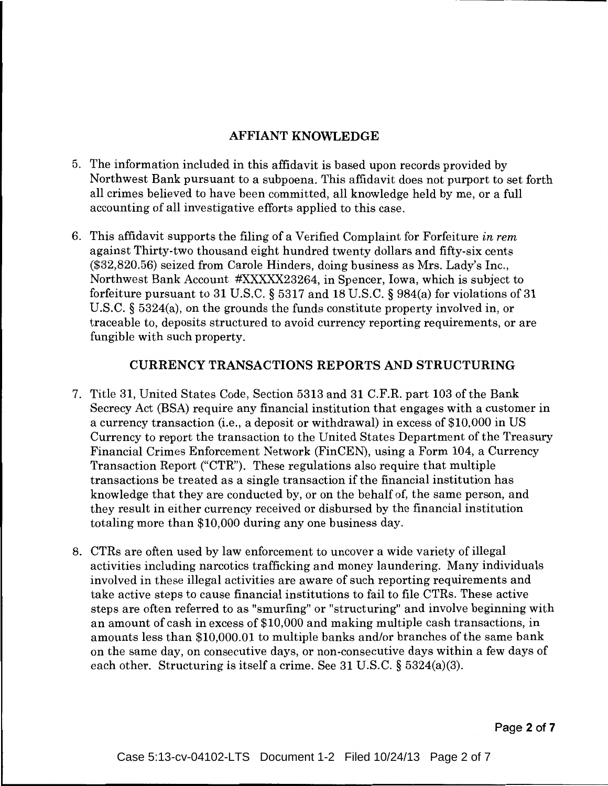## AFFIANT KNOWLEDGE

- 5. The information included in this affidavit is based upon records provided by Northwest Bank pursuant to a subpoena. This affidavit does not purport to set forth all crimes believed to have been committed, all knowledge held by me, or a full accounting of all investigative efforts applied to this case.
- 6. This affidavit supports the filing of a Verified Complaint for Forfeiture *in rem*  against Thirty-two thousand eight hundred twenty dollars and fifty-six cents (\$32,820.56) seized from Carole Hinders, doing business as Mrs. Lady's Inc., Northwest Bank Account #XXXXX23264, in Spencer, Iowa, which is subject to forfeiture pursuant to 31 U.S.C. § 5317 and 18 U.S.C. § 984(a) for violations of 31 U.S.C. § 5324(a), on the grounds the funds constitute property involved in, or traceable to, deposits structured to avoid currency reporting requirements, or are fungible with such property.

## CURRENCY TRANSACTIONS REPORTS AND STRUCTURING

- 7. Title 31, United States Code, Section 5313 and 31 C.F.R. part 103 ofthe Bank Secrecy Act (BSA) require any financial institution that engages with a customer in a currency transaction (i.e., a deposit or withdrawal) in excess of \$10,000 in US Currency to report the transaction to the United States Department of the Treasury Financial Crimes Enforcement Network (FinCEN), using a Form 104, a Currency Transaction Report ("CTR"). These regulations also require that multiple transactions be treated as a single transaction if the financial institution has knowledge that they are conducted by, or on the behalf of, the same person, and they result in either currency received or disbursed by the financial institution totaling more than \$10,000 during any one business day.
- 8. CTRs are often used by law enforcement to uncover a wide variety of illegal activities including narcotics trafficking and money laundering. Many individuals involved in these illegal activities are aware of such reporting requirements and take active steps to cause financial institutions to fail to file CTRs. These active steps are often referred to as "smurfing" or "structuring" and involve beginning with an amount of cash in excess of \$10,000 and making multiple cash transactions, in amounts less than \$10,000.01 to multiple banks and/or branches of the same bank on the same day, on consecutive days, or non-consecutive days within a few days of each other. Structuring is itself a crime. See 31 U.S.C. § 5324(a)(3).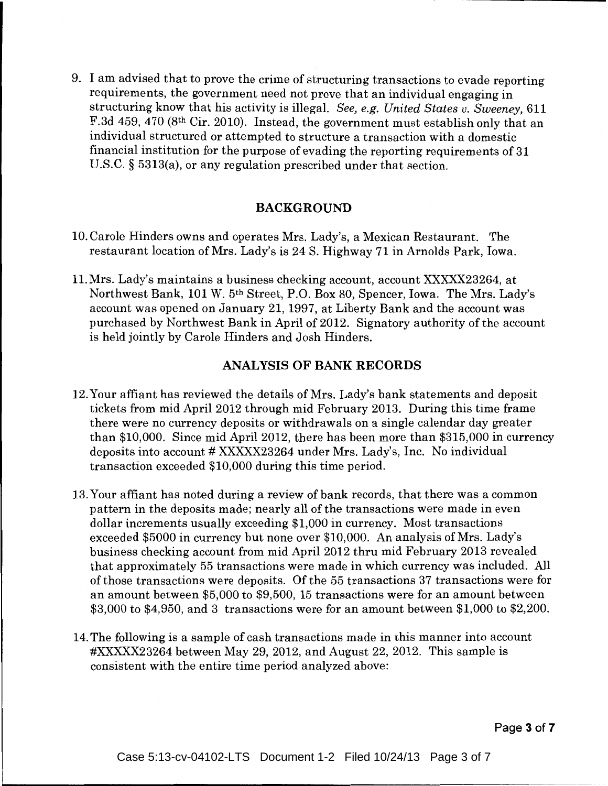9. I am advised that to prove the crime of structuring transactions to evade reporting requirements, the government need not prove that an individual engaging in structuring know that his activity is illegal. *See, e.g. United States v. Sweeney,* 611 F.3d 459, 470 (8th Cir. 2010). Instead, the government must establish only that an individual structured or attempted to structure a transaction with a domestic financial institution for the purpose of evading the reporting requirements of 31 U.S.C. § 5313(a), or any regulation prescribed under that section.

### BACKGROUND

- 10. Carole Hinders owns and operates Mrs. Lady's, a Mexican Restaurant. The restaurant location of Mrs. Lady's is 24 S. Highway 71 in Arnolds Park, Iowa.
- 11.Mrs. Lady's maintains a business checking account, account XXXXX23264, at Northwest Bank, 101 W. 5th Street, P.O. Box 80, Spencer, Iowa. The Mrs. Lady's account was opened on January 21, 1997, at Liberty Bank and the account was purchased by Northwest Bank in April of 2012. Signatory authority of the account is held jointly by Carole Hinders and Josh Hinders.

## ANALYSIS OF BANK RECORDS

- 12. Your affiant has reviewed the details of Mrs. Lady's bank statements and deposit tickets from mid April2012 through mid February 2013. During this time frame there were no currency deposits or withdrawals on a single calendar day greater than \$10,000. Since mid April 2012, there has been more than \$315,000 in currency deposits into account # XXXXX23264 under Mrs. Lady's, Inc. No individual transaction exceeded \$10,000 during this time period.
- 13. Your affiant has noted during a review of bank records, that there was a common pattern in the deposits made; nearly all of the transactions were made in even dollar increments usually exceeding \$1,000 in currency. Most transactions exceeded \$5000 in currency but none over \$10,000. An analysis of Mrs. Lady's business checking account from mid April2012 thru mid February 2013 revealed that approximately 55 transactions were made in which currency was included. All of those transactions were deposits. Of the 55 transactions 37 transactions were for an amount between \$5,000 to \$9,500, 15 transactions were for an amount between \$3,000 to \$4,950, and 3 transactions were for an amount between \$1,000 to \$2,200.
- 14. The following is a sample of cash transactions made in this manner into account #XXXXX23264 between May 29, 2012, and August 22, 2012. This sample is consistent with the entire time period analyzed above:

Page 3 of 7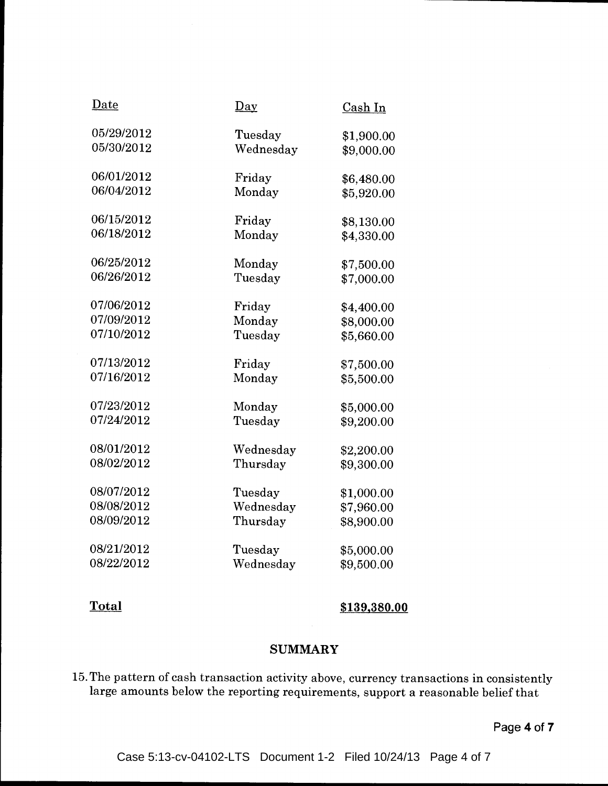| <u>Date</u> | $\mathbf{p}_{\mathbf{a}\mathbf{y}}$ | Cash In    |
|-------------|-------------------------------------|------------|
| 05/29/2012  | Tuesday                             | \$1,900.00 |
| 05/30/2012  | Wednesday                           | \$9,000.00 |
| 06/01/2012  | Friday                              | \$6,480.00 |
| 06/04/2012  | Monday                              | \$5,920.00 |
| 06/15/2012  | Friday                              | \$8,130.00 |
| 06/18/2012  | Monday                              | \$4,330.00 |
| 06/25/2012  | Monday                              | \$7,500.00 |
| 06/26/2012  | Tuesday                             | \$7,000.00 |
| 07/06/2012  | Friday                              | \$4,400.00 |
| 07/09/2012  | Monday                              | \$8,000.00 |
| 07/10/2012  | Tuesday                             | \$5,660.00 |
| 07/13/2012  | Friday                              | \$7,500.00 |
| 07/16/2012  | Monday                              | \$5,500.00 |
| 07/23/2012  | Monday                              | \$5,000.00 |
| 07/24/2012  | Tuesday                             | \$9,200.00 |
| 08/01/2012  | Wednesday                           | \$2,200.00 |
| 08/02/2012  | Thursday                            | \$9,300.00 |
| 08/07/2012  | Tuesday                             | \$1,000.00 |
| 08/08/2012  | Wednesday                           | \$7,960.00 |
| 08/09/2012  | Thursday                            | \$8,900.00 |
| 08/21/2012  | Tuesday                             | \$5,000.00 |
| 08/22/2012  | Wednesday                           | \$9,500.00 |

**Total \$139,380.00** 

### **SUMMARY**

15. The pattern of cash transaction activity above, currency transactions in consistently large amounts below the reporting requirements, support a reasonable belief that

**Page 4 of 7**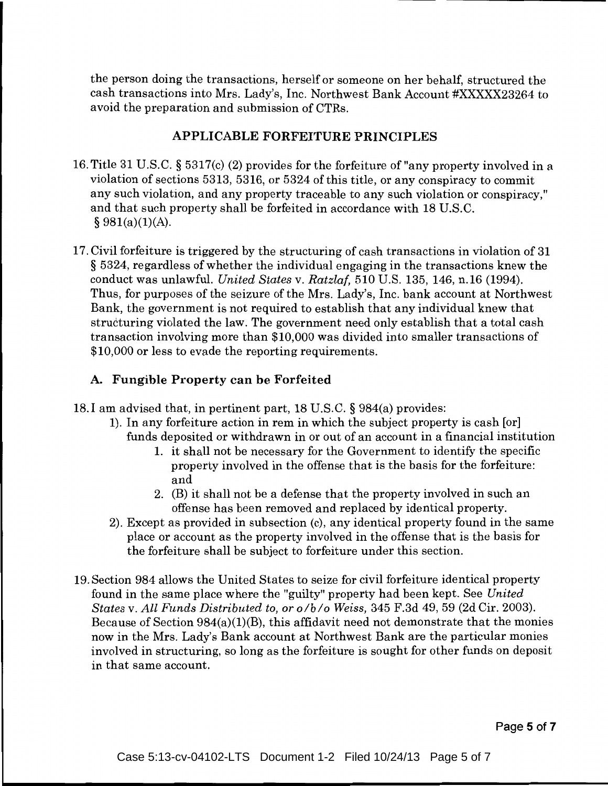the person doing the transactions, herself or someone on her behalf, structured the cash transactions into Mrs. Lady's, Inc. Northwest Bank Account #XXXXX23264 to avoid the preparation and submission of CTRs.

## APPLICABLE FORFEITURE PRINCIPLES

- 16. Title 31 U.S.C. § 5317(c) (2) provides for the forfeiture of "any property involved in a violation of sections 5313, 5316, or 5324 of this title, or any conspiracy to commit any such violation, and any property traceable to any such violation or conspiracy," and that such property shall be forfeited in accordance with 18 U.S.C.  $§ 981(a)(1)(A).$
- 17. Civil forfeiture is triggered by the structuring of cash transactions in violation of 31 § 5324, regardless of whether the individual engaging in the transactions knew the conduct was unlawful. *United States* v. *Ratzlaf,* 510 U.S. 135, 146, n.16 (1994). Thus, for purposes of the seizure of the Mrs. Lady's, Inc. bank account at Northwest Bank, the government is not required to establish that any individual knew that structuring violated the law. The government need only establish that a total cash transaction involving more than \$10,000 was divided into smaller transactions of \$10,000 or less to evade the reporting requirements.

# A. Fungible Property can be Forfeited

- 18.I am advised that, in pertinent part, 18 U.S.C. § 984(a) provides:
	- 1). In any forfeiture action in rem in which the subject property is cash [or] funds deposited or withdrawn in or out of an account in a financial institution
		- 1. it shall not be necessary for the Government to identify the specific property involved in the offense that is the basis for the forfeiture: and
		- 2. (B) it shall not be a defense that the property involved in such an offense has been removed and replaced by identical property.
	- 2). Except as provided in subsection (c), any identical property found in the same place or account as the property involved in the offense that is the basis for the forfeiture shall be subject to forfeiture under this section.
- 19. Section 984 allows the United States to seize for civil forfeiture identical property found in the same place where the "guilty" property had been kept. See *United States* v. *All Funds Distributed to, or olb/o Weiss,* 345 F.3d 49, 59 (2d Cir. 2003). Because of Section 984(a)(1)(B), this affidavit need not demonstrate that the monies now in the Mrs. Lady's Bank account at Northwest Bank are the particular monies involved in structuring, so long as the forfeiture is sought for other funds on deposit in that same account.

Page 5 of 7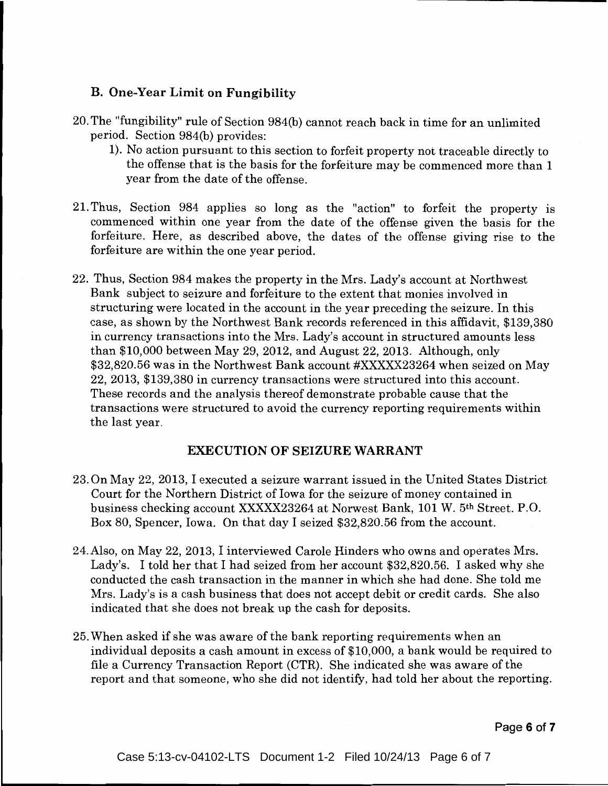## **B. One-Year Limit on Fungibility**

- 20. The "fungibility" rule of Section 984(b) cannot reach back in time for an unlimited period. Section 984(b) provides:
	- 1). No action pursuant to this section to forfeit property not traceable directly to the offense that is the basis for the forfeiture may be commenced more than 1 year from the date of the offense.
- 21. Thus, Section 984 applies so long as the "action" to forfeit the property is commenced within one year from the date of the offense given the basis for the forfeiture. Here, as described above, the dates of the offense giving rise to the forfeiture are within the one year period.
- 22. Thus, Section 984 makes the property in the Mrs. Lady's account at Northwest Bank subject to seizure and forfeiture to the extent that monies involved in structuring were located in the account in the year preceding the seizure. In this case, as shown by the Northwest Bank records referenced in this affidavit, \$139,380 in currency transactions into the Mrs. Lady's account in structured amounts less than \$10,000 between May 29, 2012, and August 22, 2013. Although, only \$32,820.56 was in the Northwest Bank account #XXXXX23264 when seized on May 22, 2013, \$139,380 in currency transactions were structured into this account. These records and the analysis thereof demonstrate probable cause that the transactions were structured to avoid the currency reporting requirements within the last year.

### **EXECUTION OF SEIZURE WARRANT**

- 23. On May 22, 2013, I executed a seizure warrant issued in the United States District Court for the Northern District of Iowa for the seizure of money contained in business checking account XXXXX23264 at Norwest Bank, 101 W. 5th Street. P.O. Box 80, Spencer, Iowa. On that day I seized \$32,820.56 from the account.
- 24.Also, on May 22, 2013, I interviewed Carole Hinders who owns and operates Mrs. Lady's. I told her that I had seized from her account \$32,820.56. I asked why she conducted the cash transaction in the manner in which she had done. She told me Mrs. Lady's is a cash business that does not accept debit or credit cards. She also indicated that she does not break up the cash for deposits.
- 25. When asked if she was aware of the bank reporting requirements when an individual deposits a cash amount in excess of \$10,000, a bank would be required to file a Currency Transaction Report (CTR). She indicated she was aware of the report and that someone, who she did not identify, had told her about the reporting.

**Page 6 of 7**